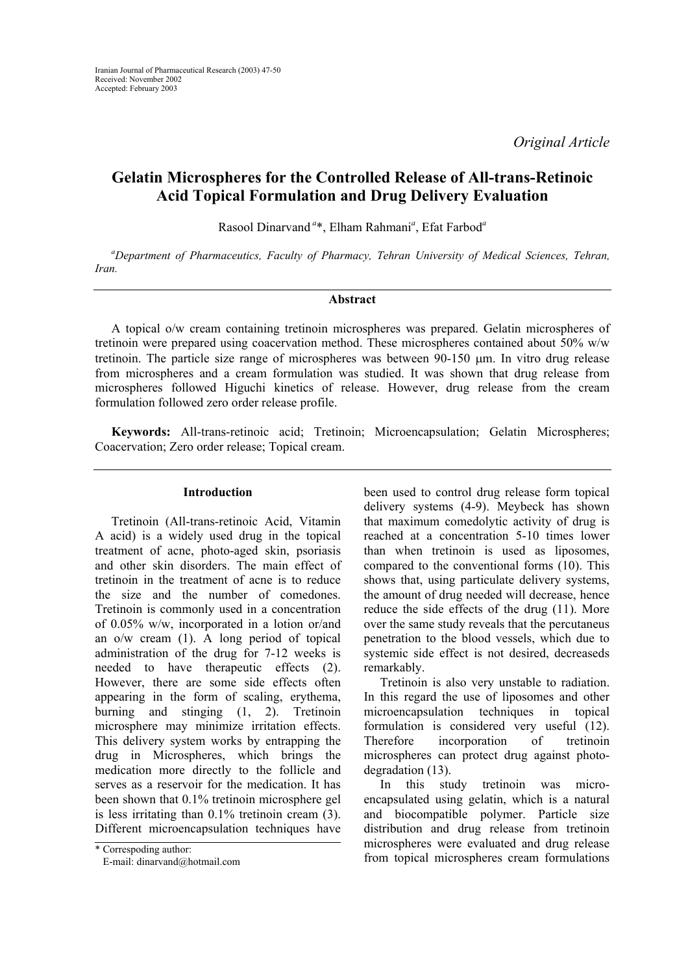*Original Article* 

# **Gelatin Microspheres for the Controlled Release of All-trans-Retinoic Acid Topical Formulation and Drug Delivery Evaluation**

Rasool Dinarvand*<sup>a</sup>*\*, Elham Rahmani*<sup>a</sup>* , Efat Farbod*<sup>a</sup>*

*a Department of Pharmaceutics, Faculty of Pharmacy, Tehran University of Medical Sciences, Tehran, Iran.* 

#### **Abstract**

A topical o/w cream containing tretinoin microspheres was prepared. Gelatin microspheres of tretinoin were prepared using coacervation method. These microspheres contained about 50% w/w tretinoin. The particle size range of microspheres was between 90-150 µm. In vitro drug release from microspheres and a cream formulation was studied. It was shown that drug release from microspheres followed Higuchi kinetics of release. However, drug release from the cream formulation followed zero order release profile.

**Keywords:** All-trans-retinoic acid; Tretinoin; Microencapsulation; Gelatin Microspheres; Coacervation; Zero order release; Topical cream.

### **Introduction**

Tretinoin (All-trans-retinoic Acid, Vitamin A acid) is a widely used drug in the topical treatment of acne, photo-aged skin, psoriasis and other skin disorders. The main effect of tretinoin in the treatment of acne is to reduce the size and the number of comedones. Tretinoin is commonly used in a concentration of 0.05% w/w, incorporated in a lotion or/and an o/w cream (1). A long period of topical administration of the drug for 7-12 weeks is needed to have therapeutic effects (2). However, there are some side effects often appearing in the form of scaling, erythema, burning and stinging (1, 2). Tretinoin microsphere may minimize irritation effects. This delivery system works by entrapping the drug in Microspheres, which brings the medication more directly to the follicle and serves as a reservoir for the medication. It has been shown that 0.1% tretinoin microsphere gel is less irritating than 0.1% tretinoin cream (3). Different microencapsulation techniques have

E-mail: dinarvand@hotmail.com

been used to control drug release form topical delivery systems (4-9). Meybeck has shown that maximum comedolytic activity of drug is reached at a concentration 5-10 times lower than when tretinoin is used as liposomes, compared to the conventional forms (10). This shows that, using particulate delivery systems, the amount of drug needed will decrease, hence reduce the side effects of the drug (11). More over the same study reveals that the percutaneus penetration to the blood vessels, which due to systemic side effect is not desired, decreaseds remarkably.

Tretinoin is also very unstable to radiation. In this regard the use of liposomes and other microencapsulation techniques in topical formulation is considered very useful (12). Therefore incorporation of tretinoin microspheres can protect drug against photodegradation (13).

In this study tretinoin was microencapsulated using gelatin, which is a natural and biocompatible polymer. Particle size distribution and drug release from tretinoin microspheres were evaluated and drug release \* Correspoding author:<br>From topical microspheres cream formulations \* Corresponding author:<br>From topical microspheres cream formulations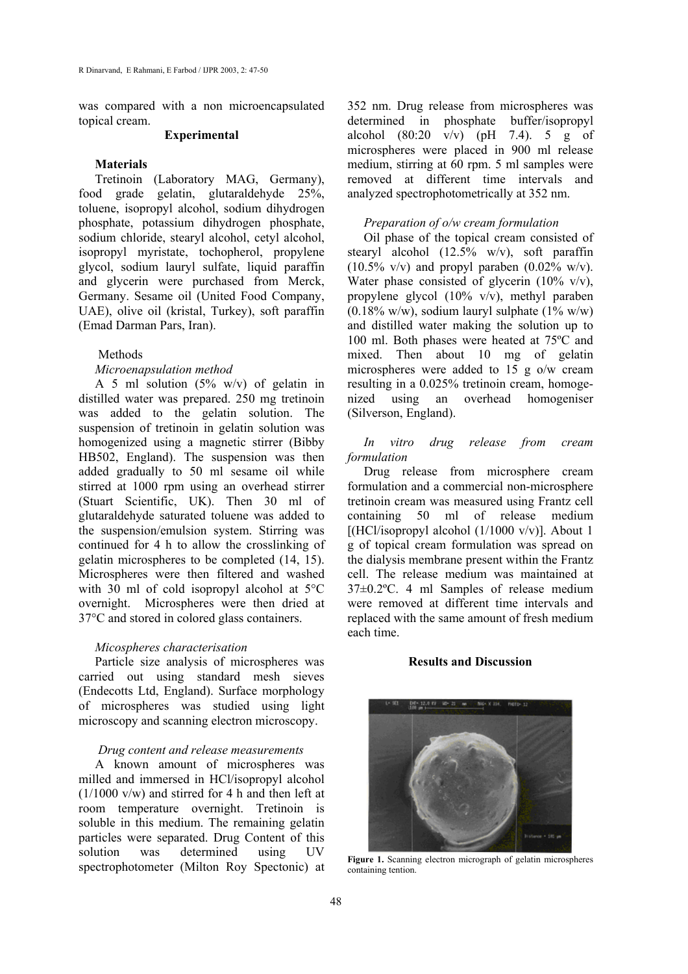was compared with a non microencapsulated topical cream.

# **Experimental**

# **Materials**

Tretinoin (Laboratory MAG, Germany), food grade gelatin, glutaraldehyde 25%, toluene, isopropyl alcohol, sodium dihydrogen phosphate, potassium dihydrogen phosphate, sodium chloride, stearyl alcohol, cetyl alcohol, isopropyl myristate, tochopherol, propylene glycol, sodium lauryl sulfate, liquid paraffin and glycerin were purchased from Merck, Germany. Sesame oil (United Food Company, UAE), olive oil (kristal, Turkey), soft paraffin (Emad Darman Pars, Iran).

# Methods

### *Microenapsulation method*

A 5 ml solution  $(5\% \text{ w/v})$  of gelatin in distilled water was prepared. 250 mg tretinoin was added to the gelatin solution. The suspension of tretinoin in gelatin solution was homogenized using a magnetic stirrer (Bibby HB502, England). The suspension was then added gradually to 50 ml sesame oil while stirred at 1000 rpm using an overhead stirrer (Stuart Scientific, UK). Then 30 ml of glutaraldehyde saturated toluene was added to the suspension/emulsion system. Stirring was continued for 4 h to allow the crosslinking of gelatin microspheres to be completed (14, 15). Microspheres were then filtered and washed with 30 ml of cold isopropyl alcohol at  $5^{\circ}$ C overnight. Microspheres were then dried at 37°C and stored in colored glass containers.

#### *Micospheres characterisation*

Particle size analysis of microspheres was carried out using standard mesh sieves (Endecotts Ltd, England). Surface morphology of microspheres was studied using light microscopy and scanning electron microscopy.

#### *Drug content and release measurements*

A known amount of microspheres was milled and immersed in HCl/isopropyl alcohol  $(1/1000 \text{ v/w})$  and stirred for 4 h and then left at room temperature overnight. Tretinoin is soluble in this medium. The remaining gelatin particles were separated. Drug Content of this solution was determined using UV spectrophotometer (Milton Roy Spectonic) at 352 nm. Drug release from microspheres was determined in phosphate buffer/isopropyl alcohol  $(80:20 \text{ v/v})$  (pH 7.4). 5 g of microspheres were placed in 900 ml release medium, stirring at 60 rpm. 5 ml samples were removed at different time intervals and analyzed spectrophotometrically at 352 nm.

# *Preparation of o/w cream formulation*

Oil phase of the topical cream consisted of stearyl alcohol  $(12.5\% \text{ w/v})$ , soft paraffin  $(10.5\% \text{ v/v})$  and propyl paraben  $(0.02\% \text{ w/v})$ . Water phase consisted of glycerin  $(10\% \text{ v/v})$ , propylene glycol (10% v/v), methyl paraben  $(0.18\% \text{ w/w})$ , sodium lauryl sulphate  $(1\% \text{ w/w})$ and distilled water making the solution up to 100 ml. Both phases were heated at 75ºC and mixed. Then about 10 mg of gelatin microspheres were added to 15 g o/w cream resulting in a 0.025% tretinoin cream, homogenized using an overhead homogeniser (Silverson, England).

# *In vitro drug release from cream formulation*

Drug release from microsphere cream formulation and a commercial non-microsphere tretinoin cream was measured using Frantz cell containing 50 ml of release medium [(HCl/isopropyl alcohol  $(1/1000 \text{ v/v})$ ]. About 1 g of topical cream formulation was spread on the dialysis membrane present within the Frantz cell. The release medium was maintained at 37±0.2ºC. 4 ml Samples of release medium were removed at different time intervals and replaced with the same amount of fresh medium each time.

#### **Results and Discussion**



**Figure 1.** Scanning electron micrograph of gelatin microspheres containing tention.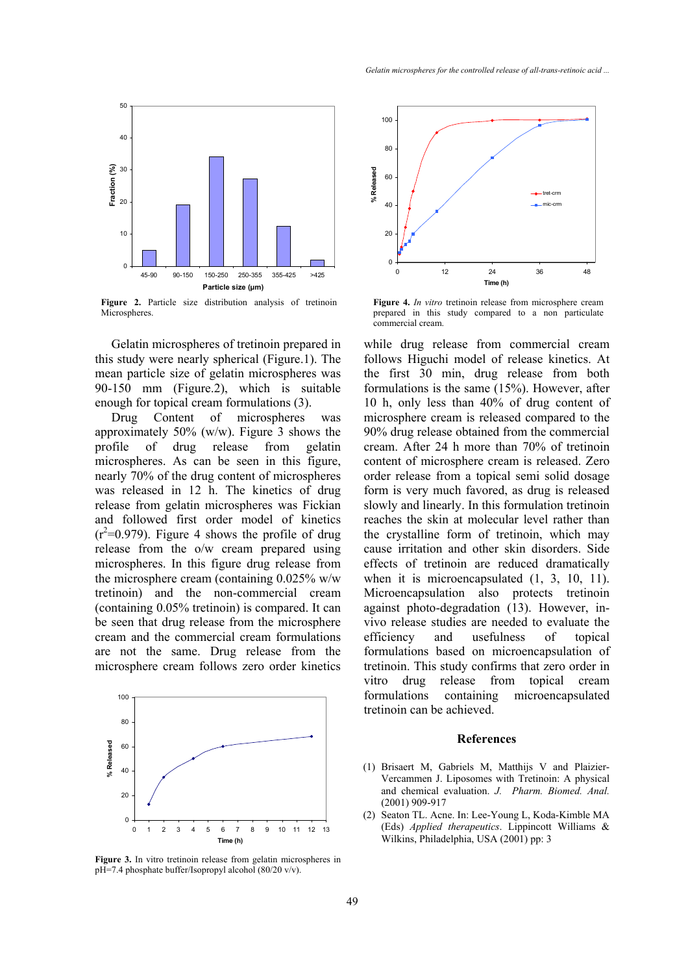

**Figure 2.** Particle size distribution analysis of tretinoin **Microspheres**.

Gelatin microspheres of tretinoin prepared in this study were nearly spherical (Figure.1). The mean particle size of gelatin microspheres was 90-150 mm (Figure.2), which is suitable enough for topical cream formulations (3).

Drug Content of microspheres was approximately 50% (w/w). Figure 3 shows the profile of drug release from gelatin microspheres. As can be seen in this figure, nearly 70% of the drug content of microspheres was released in 12 h. The kinetics of drug release from gelatin microspheres was Fickian and followed first order model of kinetics  $(r^2=0.979)$ . Figure 4 shows the profile of drug release from the o/w cream prepared using microspheres. In this figure drug release from the microsphere cream (containing 0.025% w/w tretinoin) and the non-commercial cream (containing 0.05% tretinoin) is compared. It can be seen that drug release from the microsphere cream and the commercial cream formulations are not the same. Drug release from the microsphere cream follows zero order kinetics



**Figure 3.** In vitro tretinoin release from gelatin microspheres in pH=7.4 phosphate buffer/Isopropyl alcohol (80/20 v/v).



**Figure 4.** *In vitro* tretinoin release from microsphere cream prepared in this study compared to a non particulate commercial cream.

while drug release from commercial cream follows Higuchi model of release kinetics. At the first 30 min, drug release from both formulations is the same (15%). However, after 10 h, only less than 40% of drug content of microsphere cream is released compared to the 90% drug release obtained from the commercial cream. After 24 h more than 70% of tretinoin content of microsphere cream is released. Zero order release from a topical semi solid dosage form is very much favored, as drug is released slowly and linearly. In this formulation tretinoin reaches the skin at molecular level rather than the crystalline form of tretinoin, which may cause irritation and other skin disorders. Side effects of tretinoin are reduced dramatically when it is microencapsulated  $(1, 3, 10, 11)$ . Microencapsulation also protects tretinoin against photo-degradation (13). However, invivo release studies are needed to evaluate the efficiency and usefulness of topical formulations based on microencapsulation of tretinoin. This study confirms that zero order in vitro drug release from topical cream formulations containing microencapsulated tretinoin can be achieved.

#### **References**

- (1) Brisaert M, Gabriels M, Matthijs V and Plaizier-Vercammen J. Liposomes with Tretinoin: A physical and chemical evaluation. *J. Pharm. Biomed. Anal.* (2001) 909-917
- (2) Seaton TL. Acne. In: Lee-Young L, Koda-Kimble MA (Eds) *Applied therapeutics*. Lippincott Williams & Wilkins, Philadelphia, USA (2001) pp: 3